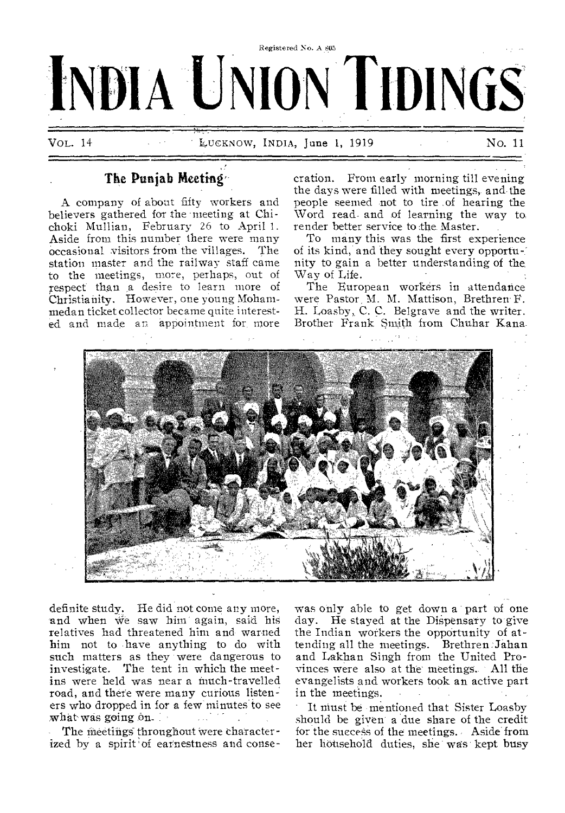

# **The Punjab Meeting'',**

A company of about fifty workers and believers gathered for the meeting at Chichoki Mullian, February 26 to April 1. Aside from this number there were many occasional visitors from the villages. The station master and the railway staff came to the meetings, more, perhaps, out of respect than a desire to learn more of Christianity. However, one young Mohammedan ticket collector became quite interested and made an appointment for, more

cration. From early morning till evening the days were filled with meetings, and. the people seemed not to tire .of hearing the Word read and of learning the way to. render better service to the Master.

To many this was the first experience of its kind, and they sought every opportn- nity to gain a better understanding of the, Way of Life.

The European workers in attendance were Pastor, M. M. Mattison, Brethren' F. H. Loasby, C. C. Belgrave and the writer. Brother Frank Smith from Chuhar Kana.

•



definite study. He did not come any more, and when we saw him again, said his relatives had threatened him and warned him not to have anything to do with such matters as they were dangerous to investigate. The tent in which the meetins were held was near a much-travelled road, and there were many curious listeners who dropped in for a few minutes to see what was going On.

The meetings throughout were characterized by a spirit of earnestness and consewas only able to get down a part of one day. He stayed at the Dispensary to give the Indian workers the opportunity of attending all the meetings. Brethren :Jahan and Lakhan Singh from the United Provinces were also at the' meetings.. All the evangelists and workers took an active part in the meetings.

It must be mentioned that Sister Loasby should be given a due share of the credit for the success of the meetings. Aside from her household duties, she was' kept busy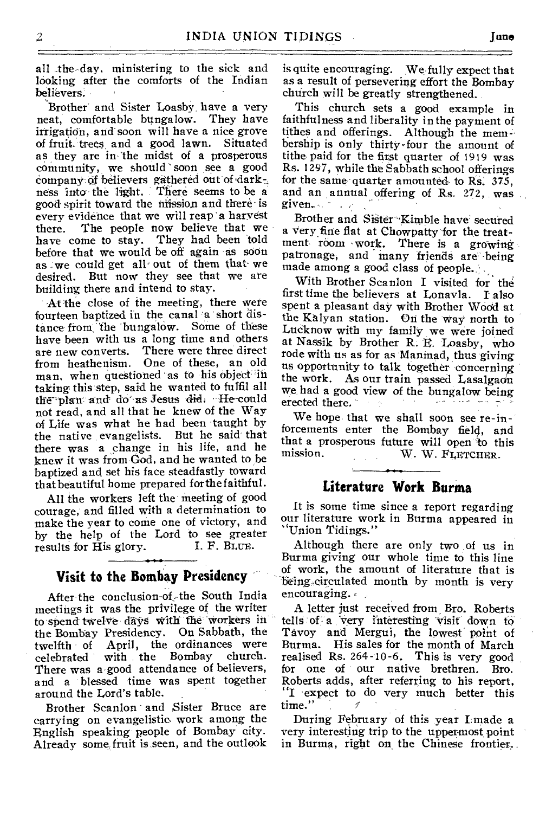all the-day, ministering to the sick and looking after the comforts of the Indian believers.

Brother and Sister Loasby, have a very neat, comfortable bungalow. They have irrigation, and-soon will have a nice grove of fruit. trees.and a good lawn. Situated as they are in the midst of a prosperous community, we should' soon see a good company of believers gathered out of dark-; mess into' the light. There seems to be a good spirit toward the mission and there is every evidence that we will reap 'a harvest there. The people now believe that we have come to stay. They had been told before that we would be off again as soon as we could get all out of them that we desired. But now they see that we are building there and intend to stay.

At the close of the meeting, there were fourteen baptized in the canal 'a short distance from: 'the bungalow. Some of these have been with us a long time and others are new converts. There were three direct from heathenism. One of these, an old man, when questioned 'as to his Object 'in taking this step, said he wanted to fulfil all the plan and do as Jesus did. He-could not read, and all that he knew of the Way of Life was what he had been taught by the native evangelists. But he said that there was a change in his life, and he knew it was from God, and he wanted to be baptized and set his face steadfastly toward that beautiful home prepared for the faithful.

All the workers left the meeting of good courage, and filled with a determination to make the year to come one of victory, and by the help of the Lord to see greater<br>results for His glory. I. F. BLUE. results for His glory.

### **Visit to the Bombay Presidency**

After the conclusion-of-the South India meetings it was the privilege of the writer to spend twelve days with the workers in the Bombay Presidency. On Sabbath, the twelfth of April, the ordinances were<br>celebrated with the Bombay church. celebrated with the Bombay There was a good attendance of believers, and a blessed time was spent together around the Lord's table.

Brother Scanlon and Sister. Bruce are carrying on evangelistio work among the English speaking people of Bombay city. Already some fruit is, seen, and the outlook is quite encouraging. We fully expect that as a result of persevering effort the Bombay church will be greatly strengthened.

This church sets a good example in faithfulness and liberality in the payment of tithes and offerings. Although the membership is only thirty-four the amount of tithe paid for the first quarter of 1919 was Rs. 1297, while the Sabbath school offerings for the same quarter amounted to Rs. 375, and an annual offering of Rs. 272, was given.  $\cdots$  .  $\cdots$ 

Brother and Sister-Kimble have secured a Very,firie flat at Chowpatty for the treatment room work. There is a growing patronage, and many friends are being made among a good class of people.

With Brother Scanlon I visited for the first time the believers at Lonavla. I also spent a pleasant day with Brother Wood at the Kalyan station. On the way north to Lucknow with my family we were joined at Nassik by Brother R. E. Loasby, who rode with us as for as Maninad, thus giving us opportunity to talk together concerning the work. As our train passed Lasalgaon we, had a good view of the bungalow being erected there.

We hope that we shall soon see re-inforcements enter the Bombay field, and that a prosperous future will open to this W. W. FLETCHER.

#### **Literature Work Burma**

It is some time since a report regarding our literature work in Burma appeared in Union Tidings."

Although there are only two of us in Burma giving our whole time to this line of work, the amount of literature that is being circulated month by month is very encouraging.

A letter just received from, Bro. Roberts tells of a very interesting visit down to Tavoy and Mergui, the lowest point of Burma. His sales for the month of March realised Rs. 264-10-6. This is very good for one of our native brethren. Bro. Roberts adds, after referring to his report, "I expect to do very much better this time."

During February of this year Lmade a very interesting trip to the uppermost point in Burma, right on the Chinese frontier,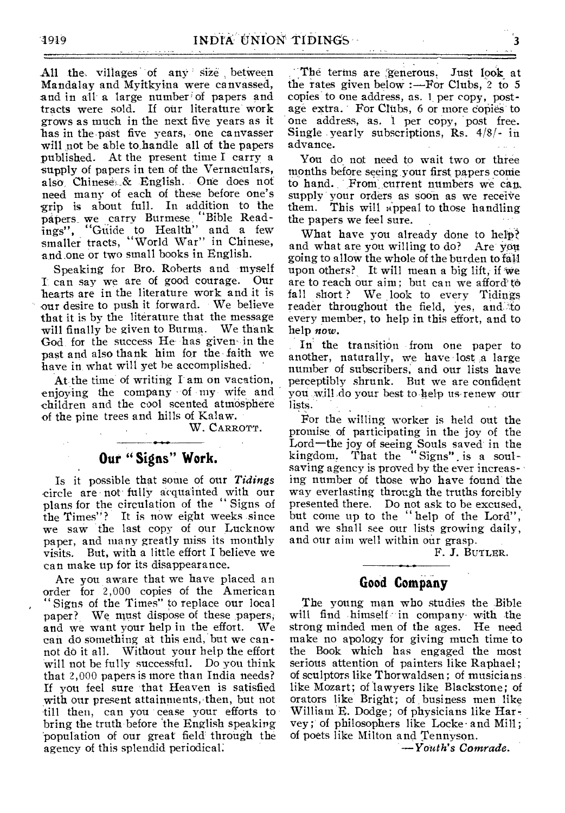All the villages of any size between Mandalay and Myitkyina were canvassed, and in all a large number of papers and tracts were sold. If our literature work grows as much in the next five years as it has in the past five years, one canvasser will not be able to\_handle all of the papers published. At the present time I carry a supply of papers in ten of the Vernaculars, also, Chinese...& English. One does not need many of each of these before one's grip is about full. In addition to the papers\_ we carry Burmese. "Bible Readings", "Guide to Health" and a few smaller tracts, "World War" in Chinese, and one or two small books in English.

Speaking for Bro. Roberts and myself I', can say we are of good courage. Our hearts are in the literature work and it is our desire to push it forward. We believe that it is by the literature that the message will finally be given to Burma. We thank God for the success  $He$  has given in the past and also thank him for the,faith we have in what will yet be accomplished. '

At the time of writing  $I$  am on vacation, enjoying the company of my wife and children and the cool scented atmosphere of the pine trees and hills of Kalaw.

W. CARROTT.

#### -0-•••••• **Our " Signs" Work.**

Is it possible that some of our *Tidings*  circle are not' fully acquainted with our plans for the circulation of the " Signs of the Times"? It is now eight weeks since we saw the last copy of our Lucknow paper, and many greatly miss its monthly visits. But, with a little effort I believe we can make up for its disappearance.

Are you aware that we have placed an order for 2,000 copies of the American " Signs of the Times" to replace our local paper? We must dispose of these papers, and we want your help in the effort. We can do something at this end, but we cannot do it all. Without your help the effort will not be fully successful. Do you think that 2,000 papers is more than India needs? If you feel sure that Heaven is satisfied with our present attainments, then, but not till then, can you cease your efforts to bring the truth before the English speaking population of our great field through the agency of this splendid periodical:

The terms are generous. Just look at the rates given below :—For Clubs, 2 to 5 copies to one address, as. 1 per copy, postage extra. For Clubs, 6 or more copies' to one address, as. 1 per copy, post free. Single yearly subscriptions, Rs. 4/8/- in advance.

You do not need to wait two or three months before seeing your first papers come to hand. From current numbers we can supply your orders as soon as we receive them. This will appeal to those handling the papers we feel sure.

What have you already done to help? and what are you willing to do? Are-you going to allow the whole of the burden to fall upon others? It will mean a big lift, if we are to reach our aim; but can we afford' to fall short ? We look to every Tidings reader throughout the field, yes, and to every member, to help in this effort, and to help *now.* 

In the transition from one paper to another, naturally, we have lost ,a large number of subscribers, and our lists have perceptibly shrunk. But we are confident yoti will.do your best to help us renew our lists.

For the willing worker is held out the promise of participating in the joy of the Lord—the joy of seeing Souls saved in the kingdom. That the "Signs" is a soulsaving agency is proved by the ever increasing number of those who have found the way everlasting through the truths forcibly presented there. Do not ask to be excused, but come up to the " help of the Lord", and we shall see our lists growing daily, and our aim well within our grasp.

F. *3.* BUTLER.

#### **Good Company**

The young man who studies the Bible will find himself in company with the strong minded men of the ages. He need make no apology for giving much time to the Book which has engaged the most serious attention of painters like Raphael; of sculptors like Thorwaldsen; of musicians like Mozart; of lawyers like Blackstone; of orators like Bright; of business men like William E. Dodge; of physicians like Harvey; of philosophers like Locke. and Mill; of poets like Milton and Tennyson.

*—Youth's Comrade.*